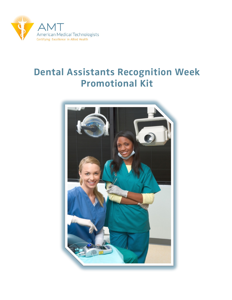

# Dental Assistants Recognition Week Promotional Kit

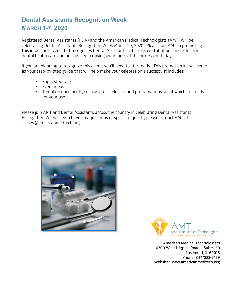## **Dental Assistants Recognition Week MARCH 1-7, 2020**

Registered Dental Assistants (RDA) and the American Medical Technologists (AMT) will be celebrating Dental Assistants Recognition Week March 1-7, 2020. Please join AMT in promoting this important event that recognizes Dental Assistants' vital role, contributions and efforts in dental health care and help us begin raising awareness of the profession today.

If you are planning to recognize this event, you'll need to start early! This promotion kit will serve as your step-by-step guide that will help make your celebration a success. It includes:

- **Suggested tasks**
- $\blacksquare$  Event ideas
- **Template documents, such as press releases and proclamations, all of which are ready** for your use

Please join AMT and Dental Assistants across the country in celebrating Dental Assistants Recognition Week. If you have any questions or special requests, please contact AMT at: ccasey@americanmedtech.org.





American Medical Technologists 10700 West Higgins Road – Suite 150 Rosemont, IL 60018 Phone: 847/823-5169 Website: www.americanmedtech.org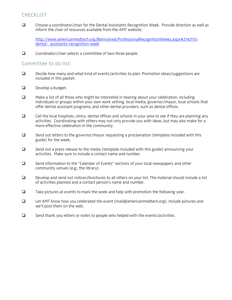## **CHECKLIST**

 Choose a coordinator/chair for the Dental Assistants Recognition Week. Provide direction as well as inform the chair of resources available from the AMT website.

[http://www.americanmedtech.org/BeInvolved/ProfessionalRecognitionWeeks.aspx#2142110](http://www.americanmedtech.org/BeInvolved/ProfessionalRecognitionWeeks.aspx#2142110-dental-%20%20assistants-recognition-week) [dental- assistants-recognition-week](http://www.americanmedtech.org/BeInvolved/ProfessionalRecognitionWeeks.aspx#2142110-dental-%20%20assistants-recognition-week)

 $\Box$  Coordinator/chair selects a committee of two-three people.

## Committee to do list:

- $\Box$  Decide how many and what kind of events/activities to plan. Promotion ideas/suggestions are included in this packet.
- $\Box$  Develop a budget.
- $\Box$  Make a list of all those who might be interested in hearing about your celebration, including individuals or groups within your own work setting, local media, governor/mayor, local schools that offer dental assistant programs, and other dental providers, such as dental offices.
- $\Box$  Call the local hospitals, clinics, dental offices and schools in your area to see if they are planning any activities. Coordinating with others may not only provide you with ideas, but may also make for a more effective celebration in the community.
- $\square$  Send out letters to the governor/mayor requesting a proclamation (template included with this guide) for the week.
- $\square$  Send out a press release to the media (template included with this guide) announcing your activities. Make sure to include a contact name and number.
- Send information to the "Calendar of Events" sections of your local newspapers and other community venues (e.g., the library).
- $\square$  Develop and send out notices/brochures to all others on your list. The material should include a list of activities planned and a contact person's name and number.
- $\Box$  Take pictures at events to mark the week and help with promotion the following year.
- $\Box$  Let AMT know how you celebrated the event (mail@americanmedtech.org). Include pictures and we'll post them on the web.
- $\square$  Send thank you letters or notes to people who helped with the events/activities.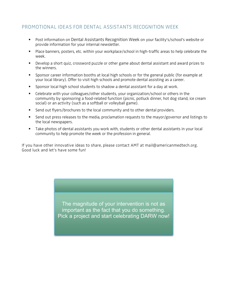## PROMOTIONAL IDEAS FOR DENTAL ASSISTANTS RECOGNITION WEEK

- Post information on Dental Assistants Recognition Week on your facility's/school's website or provide information for your internal newsletter.
- Place banners, posters, etc. within your workplace/school in high-traffic areas to help celebrate the week.
- Develop a short quiz, crossword puzzle or other game about dental assistant and award prizes to the winners.
- **Sponsor career information booths at local high schools or for the general public (for example at** your local library). Offer to visit high schools and promote dental assisting as a career.
- Sponsor local high school students to shadow a dental assistant for a day at work.
- Celebrate with your colleagues/other students, your organization/school or others in the community by sponsoring a food-related function (picnic, potluck dinner, hot dog stand, ice cream social) or an activity (such as a softball or volleyball game).
- Send out flyers/brochures to the local community and to other dental providers.
- Send out press releases to the media, proclamation requests to the mayor/governor and listings to the local newspapers.
- Take photos of dental assistants you work with, students or other dental assistants in your local community to help promote the week or the profession in general.

If you have other innovative ideas to share, please contact AMT at mail@americanmedtech.org. Good luck and let's have some fun!

> The magnitude of your intervention is not as important as the fact that you do something. Pick a project and start celebrating DARW now!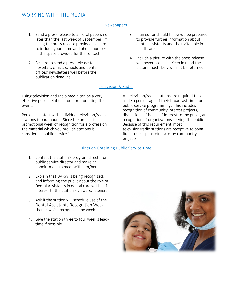## WORKING WITH THE MEDIA

#### **Newspapers**

- 1. Send a press release to all local papers no later than the last week of September. If using the press release provided, be sure to include your name and phone number in the space provided for the contact.
- 2. Be sure to send a press release to hospitals, clinics, schools and dental offices' newsletters well before the publication deadline.
- 3. If an editor should follow-up be prepared to provide further information about dental assistants and their vital role in healthcare.
- 4. Include a picture with the press release whenever possible. Keep in mind the picture most likely will not be returned.

#### Television & Radio

Using television and radio media can be a very effective public relations tool for promoting this event.

Personal contact with individual television/radio stations is paramount. Since the project is a promotional week of recognition for a profession, the material which you provide stations is considered "public service."

All television/radio stations are required to set aside a percentage of their broadcast time for public service programming. This includes recognition of community interest projects, discussions of issues of interest to the public, and recognition of organizations serving the public. Because of this requirement, most television/radio stations are receptive to bonafide groups sponsoring worthy community projects.

#### Hints on Obtaining Public Service Time

- 1. Contact the station's program director or public service director and make an appointment to meet with him/her.
- 2. Explain that DARW is being recognized, and informing the public about the role of Dental Assistants in dental care will be of interest to the station's viewers/listeners.
- 3. Ask if the station will schedule use of the Dental Assistants Recognition Week theme, which recognizes the week.
- 4. Give the station three to four week's leadtime if possible

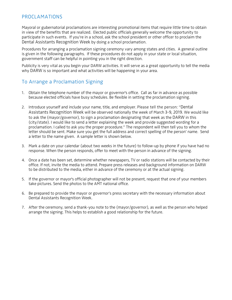## PROCLAMATIONS

Mayoral or gubernatorial proclamations are interesting promotional items that require little time to obtain in view of the benefits that are realized. Elected public officials generally welcome the opportunity to participate in such events. If you're in a school, ask the school president or other officer to proclaim the Dental Assistants Recognition Week by doing a school proclamation.

Procedures for arranging a proclamation signing ceremony vary among states and cities. A general outline is given in the following paragraphs. If these procedures do not apply in your state or local situation, government staff can be helpful in pointing you in the right direction.

Publicity is very vital as you begin your DARW activities. It will serve as a great opportunity to tell the media why DARW is so important and what activities will be happening in your area.

## To Arrange a Proclamation Signing

- 1. Obtain the telephone number of the mayor or governor's office. Call as far in advance as possible because elected officials have busy schedules. Be flexible in setting the proclamation signing.
- 2. Introduce yourself and include your name, title, and employer. Please tell the person: "Dental Assistants Recognition Week will be observed nationally the week of March 3-9, 2019. We would like to ask the (mayor/governor), to sign a proclamation designating that week as the DARW in this (city/state). I would like to send a letter explaining the week and provide suggested wording for a proclamation. I called to ask you the proper procedure." The respondent will then tell you to whom the letter should be sent. Make sure you get the full address and correct spelling of the person' name. Send a letter to the name given. A sample letter is shown below.
- 3. Mark a date on your calendar (about two weeks in the future) to follow-up by phone if you have had no response. When the person responds, offer to meet with the person in advance of the signing.
- 4. Once a date has been set, determine whether newspapers, TV or radio stations will be contacted by their office. If not, invite the media to attend. Prepare press releases and background information on DARW to be distributed to the media, either in advance of the ceremony or at the actual signing.
- 5. If the governor or mayor's official photographer will not be present, request that one of your members take pictures. Send the photos to the AMT national office.
- 6. Be prepared to provide the mayor or governor's press secretary with the necessary information about Dental Assistants Recognition Week.
- 7. After the ceremony, send a thank-you note to the (mayor/governor), as well as the person who helped arrange the signing. This helps to establish a good relationship for the future.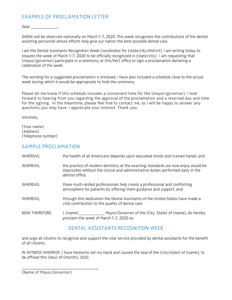## EXAMPLE OF PROCLAMATION LETTER

Dear \_\_\_\_\_\_\_\_\_\_\_\_\_\_\_:

DARW will be observed nationally on March 1-7, 2020. This week recognizes the contributions of the dental assisting personnel whose efforts help give our nation the best possible dental care.

I am the Dental Assistants Recognition Week Coordinator for (state/city/district). I am writing today to request the week of March 1-7, 2020 to be officially recognized in (state/city). I am requesting that (mayor/governor) participate in a ceremony at (his/her) office to sign a proclamation declaring a celebration of the week.

The wording for a suggested proclamation is enclosed. I have also included a schedule close to the actual week during which it would be appropriate to hold the ceremony.

Please let me know if this schedule includes a convenient time for the (mayor/governor). I look forward to hearing from you regarding the approval of the proclamation and a reserved day and time for the signing. In the meantime, please feel free to contact me, as I will be happy to answer any questions you may have. I appreciate your interest. Thank you.

Sincerely,

(Your name) (Address) (Telephone number)

### SAMPLE PROCLAMATION

| WHEREAS,       | the health of all Americans depends upon educated minds and trained hands; and                                                                                                          |
|----------------|-----------------------------------------------------------------------------------------------------------------------------------------------------------------------------------------|
| WHEREAS,       | the practice of modern dentistry at the exacting standards we now enjoy would be<br>impossible without the clinical and administrative duties performed daily in the<br>dentist office. |
| WHEREAS,       | these multi-skilled professionals help create a professional and comforting<br>atmosphere for patients by offering them guidance and support, and                                       |
| WHEREAS,       | through this dedication the Dental Assistants of the United States have made a<br>vital contribution to the quality of dental care.                                                     |
| NOW THEREFORE, | I, (name) _____________, Mayor/Governor of the (City, State) of (name), do hereby<br>proclaim the week of March 1-7, 2020 as:                                                           |

## DENTAL ASSISTANTS RECOGNITION WEEK

and urge all citizens to recognize and support the vital service provided by dental assistants for the benefit of all citizens.

IN WITNESS WHEREOF, I have hereunto set my hand and caused the seal of the (city/state) of (name), to be affixed this (day) of (month), 2020.

\_\_\_\_\_\_\_\_\_\_\_\_\_\_\_\_\_\_\_\_\_\_\_\_\_\_\_\_\_\_\_ (Name of Mayor/Governor)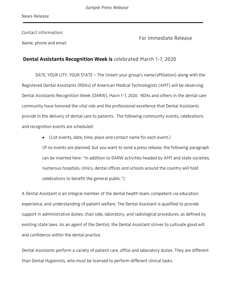Contact Information:

Name, phone and email

For Immediate Release

## Dental Assistants Recognition Week is celebrated March 1-7, 2020

DATE, YOUR CITY, YOUR STATE – The (insert your group's name/affiliation) along with the Registered Dental Assistants (RDAs) of American Medical Technologists (AMT) will be observing Dental Assistants Recognition Week (DARW), March 1-7, 2020. RDAs and others in the dental care community have honored the vital role and the professional excellence that Dental Assistants provide in the delivery of dental care to patients. The following community events, celebrations and recognition events are scheduled:

> • (List events, date, time, place and contact name for each event.) (If no events are planned, but you want to send a press release, the following paragraph can be inserted here: "In addition to DARW activities headed by AMT and state societies, numerous hospitals, clinics, dental offices and schools around the country will hold celebrations to benefit the general public.")

A Dental Assistant is an integral member of the dental health team, competent via education, experience, and understanding of patient welfare. The Dental Assistant is qualified to provide support in administrative duties: chair side, laboratory, and radiological procedures, as defined by existing state laws. As an agent of the Dentist, the Dental Assistant strives to cultivate good will and confidence within the dental practice.

Dental Assistants perform a variety of patient care, office and laboratory duties. They are different than Dental Hygienists, who must be licensed to perform different clinical tasks.